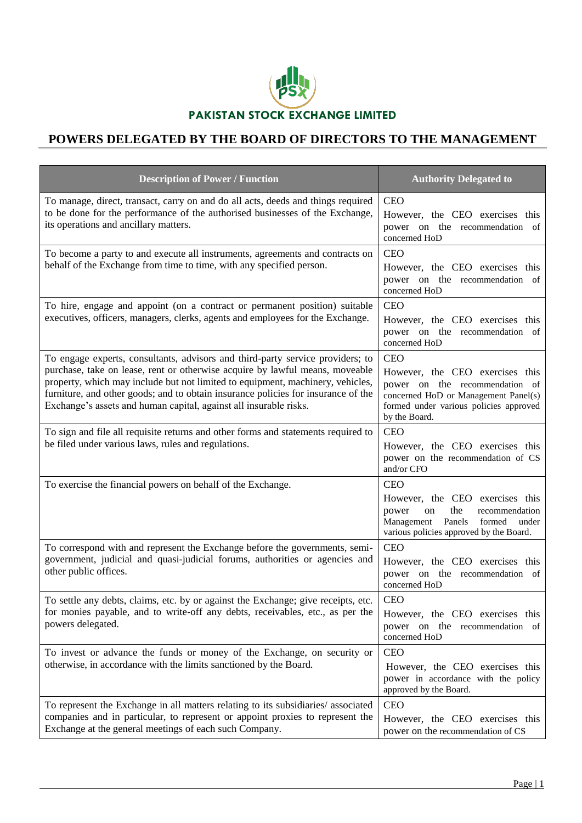

## **POWERS DELEGATED BY THE BOARD OF DIRECTORS TO THE MANAGEMENT**

| <b>Description of Power / Function</b>                                                                                                                                                                                                                                                                                                                                                                     | <b>Authority Delegated to</b>                                                                                                                                                      |
|------------------------------------------------------------------------------------------------------------------------------------------------------------------------------------------------------------------------------------------------------------------------------------------------------------------------------------------------------------------------------------------------------------|------------------------------------------------------------------------------------------------------------------------------------------------------------------------------------|
| To manage, direct, transact, carry on and do all acts, deeds and things required<br>to be done for the performance of the authorised businesses of the Exchange,<br>its operations and ancillary matters.                                                                                                                                                                                                  | <b>CEO</b><br>However, the CEO exercises this<br>power on the recommendation of<br>concerned HoD                                                                                   |
| To become a party to and execute all instruments, agreements and contracts on<br>behalf of the Exchange from time to time, with any specified person.                                                                                                                                                                                                                                                      | <b>CEO</b><br>However, the CEO exercises this<br>power on the recommendation of<br>concerned HoD                                                                                   |
| To hire, engage and appoint (on a contract or permanent position) suitable<br>executives, officers, managers, clerks, agents and employees for the Exchange.                                                                                                                                                                                                                                               | <b>CEO</b><br>However, the CEO exercises this<br>power on the recommendation of<br>concerned HoD                                                                                   |
| To engage experts, consultants, advisors and third-party service providers; to<br>purchase, take on lease, rent or otherwise acquire by lawful means, moveable<br>property, which may include but not limited to equipment, machinery, vehicles,<br>furniture, and other goods; and to obtain insurance policies for insurance of the<br>Exchange's assets and human capital, against all insurable risks. | <b>CEO</b><br>However, the CEO exercises this<br>power on the recommendation of<br>concerned HoD or Management Panel(s)<br>formed under various policies approved<br>by the Board. |
| To sign and file all requisite returns and other forms and statements required to<br>be filed under various laws, rules and regulations.                                                                                                                                                                                                                                                                   | <b>CEO</b><br>However, the CEO exercises this<br>power on the recommendation of CS<br>and/or CFO                                                                                   |
| To exercise the financial powers on behalf of the Exchange.                                                                                                                                                                                                                                                                                                                                                | <b>CEO</b><br>However, the CEO exercises this<br>the<br>recommendation<br>power<br>on<br>Panels<br>Management<br>formed<br>under<br>various policies approved by the Board.        |
| To correspond with and represent the Exchange before the governments, semi-<br>government, judicial and quasi-judicial forums, authorities or agencies and<br>other public offices.                                                                                                                                                                                                                        | <b>CEO</b><br>However, the CEO exercises this<br>power on the recommendation of<br>concerned HoD                                                                                   |
| To settle any debts, claims, etc. by or against the Exchange; give receipts, etc.<br>for monies payable, and to write-off any debts, receivables, etc., as per the<br>powers delegated.                                                                                                                                                                                                                    | <b>CEO</b><br>However, the CEO exercises this<br>power on the recommendation of<br>concerned HoD                                                                                   |
| To invest or advance the funds or money of the Exchange, on security or<br>otherwise, in accordance with the limits sanctioned by the Board.                                                                                                                                                                                                                                                               | <b>CEO</b><br>However, the CEO exercises this<br>power in accordance with the policy<br>approved by the Board.                                                                     |
| To represent the Exchange in all matters relating to its subsidiaries/associated<br>companies and in particular, to represent or appoint proxies to represent the<br>Exchange at the general meetings of each such Company.                                                                                                                                                                                | <b>CEO</b><br>However, the CEO exercises this<br>power on the recommendation of CS                                                                                                 |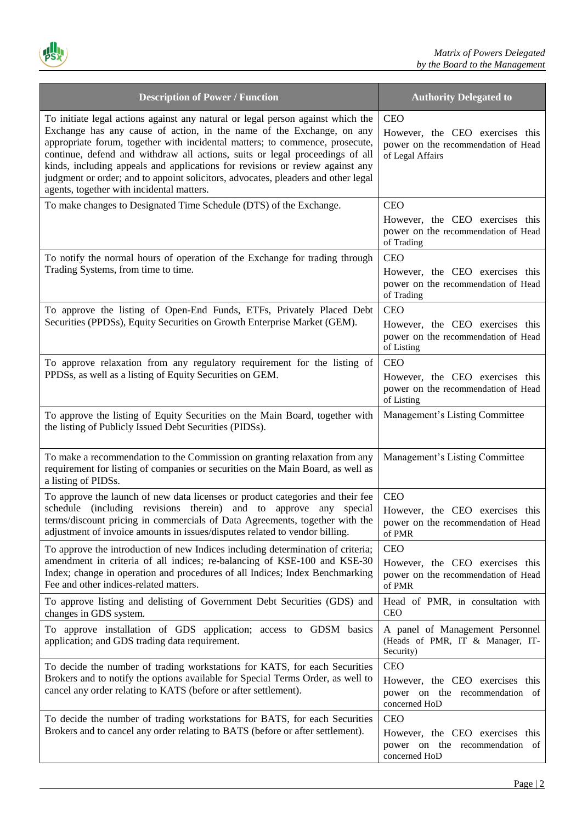| <b>Description of Power / Function</b>                                                                                                                                                                                                                                                                                                                                                                                                                                                                                                      | <b>Authority Delegated to</b>                                                                            |
|---------------------------------------------------------------------------------------------------------------------------------------------------------------------------------------------------------------------------------------------------------------------------------------------------------------------------------------------------------------------------------------------------------------------------------------------------------------------------------------------------------------------------------------------|----------------------------------------------------------------------------------------------------------|
| To initiate legal actions against any natural or legal person against which the<br>Exchange has any cause of action, in the name of the Exchange, on any<br>appropriate forum, together with incidental matters; to commence, prosecute,<br>continue, defend and withdraw all actions, suits or legal proceedings of all<br>kinds, including appeals and applications for revisions or review against any<br>judgment or order; and to appoint solicitors, advocates, pleaders and other legal<br>agents, together with incidental matters. | <b>CEO</b><br>However, the CEO exercises this<br>power on the recommendation of Head<br>of Legal Affairs |
| To make changes to Designated Time Schedule (DTS) of the Exchange.                                                                                                                                                                                                                                                                                                                                                                                                                                                                          | <b>CEO</b><br>However, the CEO exercises this<br>power on the recommendation of Head<br>of Trading       |
| To notify the normal hours of operation of the Exchange for trading through<br>Trading Systems, from time to time.                                                                                                                                                                                                                                                                                                                                                                                                                          | <b>CEO</b><br>However, the CEO exercises this<br>power on the recommendation of Head<br>of Trading       |
| To approve the listing of Open-End Funds, ETFs, Privately Placed Debt<br>Securities (PPDSs), Equity Securities on Growth Enterprise Market (GEM).                                                                                                                                                                                                                                                                                                                                                                                           | <b>CEO</b><br>However, the CEO exercises this<br>power on the recommendation of Head<br>of Listing       |
| To approve relaxation from any regulatory requirement for the listing of<br>PPDSs, as well as a listing of Equity Securities on GEM.                                                                                                                                                                                                                                                                                                                                                                                                        | <b>CEO</b><br>However, the CEO exercises this<br>power on the recommendation of Head<br>of Listing       |
| To approve the listing of Equity Securities on the Main Board, together with<br>the listing of Publicly Issued Debt Securities (PIDSs).                                                                                                                                                                                                                                                                                                                                                                                                     | Management's Listing Committee                                                                           |
| To make a recommendation to the Commission on granting relaxation from any<br>requirement for listing of companies or securities on the Main Board, as well as<br>a listing of PIDSs.                                                                                                                                                                                                                                                                                                                                                       | Management's Listing Committee                                                                           |
| To approve the launch of new data licenses or product categories and their fee<br>schedule (including revisions therein) and to approve any<br>special<br>terms/discount pricing in commercials of Data Agreements, together with the<br>adjustment of invoice amounts in issues/disputes related to vendor billing.                                                                                                                                                                                                                        | <b>CEO</b><br>However, the CEO exercises this<br>power on the recommendation of Head<br>of PMR           |
| To approve the introduction of new Indices including determination of criteria;<br>amendment in criteria of all indices; re-balancing of KSE-100 and KSE-30<br>Index; change in operation and procedures of all Indices; Index Benchmarking<br>Fee and other indices-related matters.                                                                                                                                                                                                                                                       | <b>CEO</b><br>However, the CEO exercises this<br>power on the recommendation of Head<br>of PMR           |
| To approve listing and delisting of Government Debt Securities (GDS) and<br>changes in GDS system.                                                                                                                                                                                                                                                                                                                                                                                                                                          | Head of PMR, in consultation with<br>CEO                                                                 |
| To approve installation of GDS application; access to GDSM basics<br>application; and GDS trading data requirement.                                                                                                                                                                                                                                                                                                                                                                                                                         | A panel of Management Personnel<br>(Heads of PMR, IT & Manager, IT-<br>Security)                         |
| To decide the number of trading workstations for KATS, for each Securities<br>Brokers and to notify the options available for Special Terms Order, as well to<br>cancel any order relating to KATS (before or after settlement).                                                                                                                                                                                                                                                                                                            | <b>CEO</b><br>However, the CEO exercises this<br>power on the recommendation of<br>concerned HoD         |
| To decide the number of trading workstations for BATS, for each Securities<br>Brokers and to cancel any order relating to BATS (before or after settlement).                                                                                                                                                                                                                                                                                                                                                                                | <b>CEO</b><br>However, the CEO exercises this<br>power on the recommendation of<br>concerned HoD         |